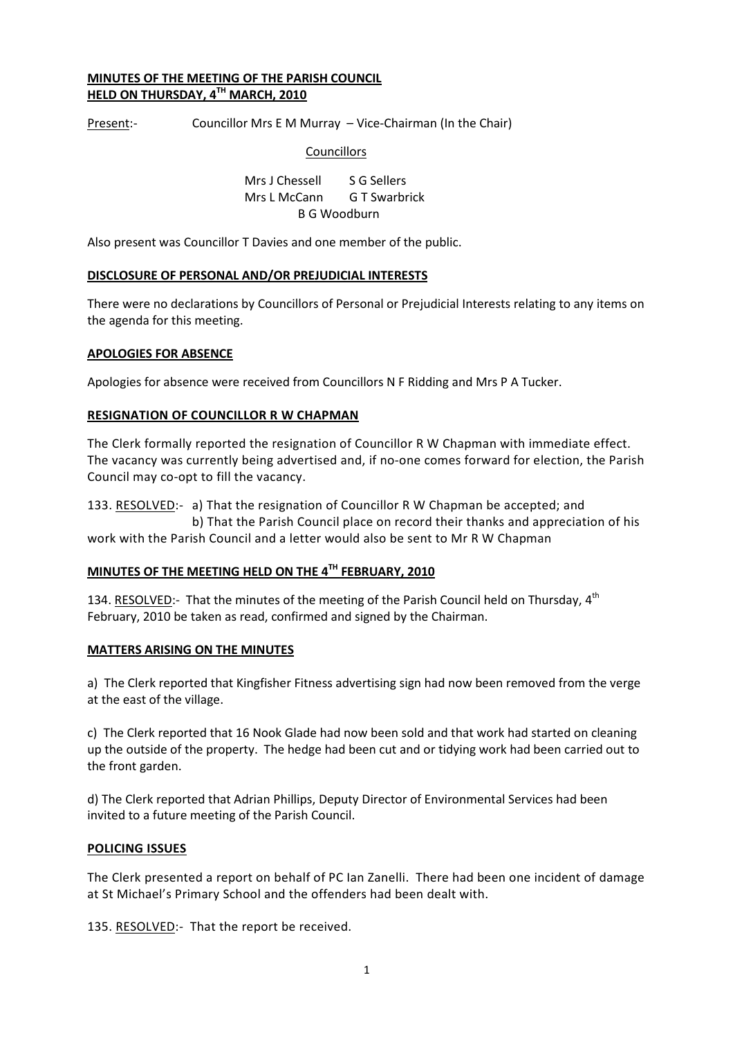### MINUTES OF THE MEETING OF THE PARISH COUNCIL HELD ON THURSDAY, 4TH MARCH, 2010

Present:- Councillor Mrs E M Murray – Vice-Chairman (In the Chair)

### **Councillors**

Mrs J Chessell S G Sellers Mrs L McCann G T Swarbrick B G Woodburn

Also present was Councillor T Davies and one member of the public.

### DISCLOSURE OF PERSONAL AND/OR PREJUDICIAL INTERESTS

There were no declarations by Councillors of Personal or Prejudicial Interests relating to any items on the agenda for this meeting.

### APOLOGIES FOR ABSENCE

Apologies for absence were received from Councillors N F Ridding and Mrs P A Tucker.

### RESIGNATION OF COUNCILLOR R W CHAPMAN

The Clerk formally reported the resignation of Councillor R W Chapman with immediate effect. The vacancy was currently being advertised and, if no-one comes forward for election, the Parish Council may co-opt to fill the vacancy.

133. RESOLVED:- a) That the resignation of Councillor R W Chapman be accepted; and b) That the Parish Council place on record their thanks and appreciation of his work with the Parish Council and a letter would also be sent to Mr R W Chapman

### MINUTES OF THE MEETING HELD ON THE 4TH FEBRUARY, 2010

134. RESOLVED:- That the minutes of the meeting of the Parish Council held on Thursday, 4<sup>th</sup> February, 2010 be taken as read, confirmed and signed by the Chairman.

#### MATTERS ARISING ON THE MINUTES

a) The Clerk reported that Kingfisher Fitness advertising sign had now been removed from the verge at the east of the village.

c) The Clerk reported that 16 Nook Glade had now been sold and that work had started on cleaning up the outside of the property. The hedge had been cut and or tidying work had been carried out to the front garden.

d) The Clerk reported that Adrian Phillips, Deputy Director of Environmental Services had been invited to a future meeting of the Parish Council.

### POLICING ISSUES

The Clerk presented a report on behalf of PC Ian Zanelli. There had been one incident of damage at St Michael's Primary School and the offenders had been dealt with.

135. RESOLVED:- That the report be received.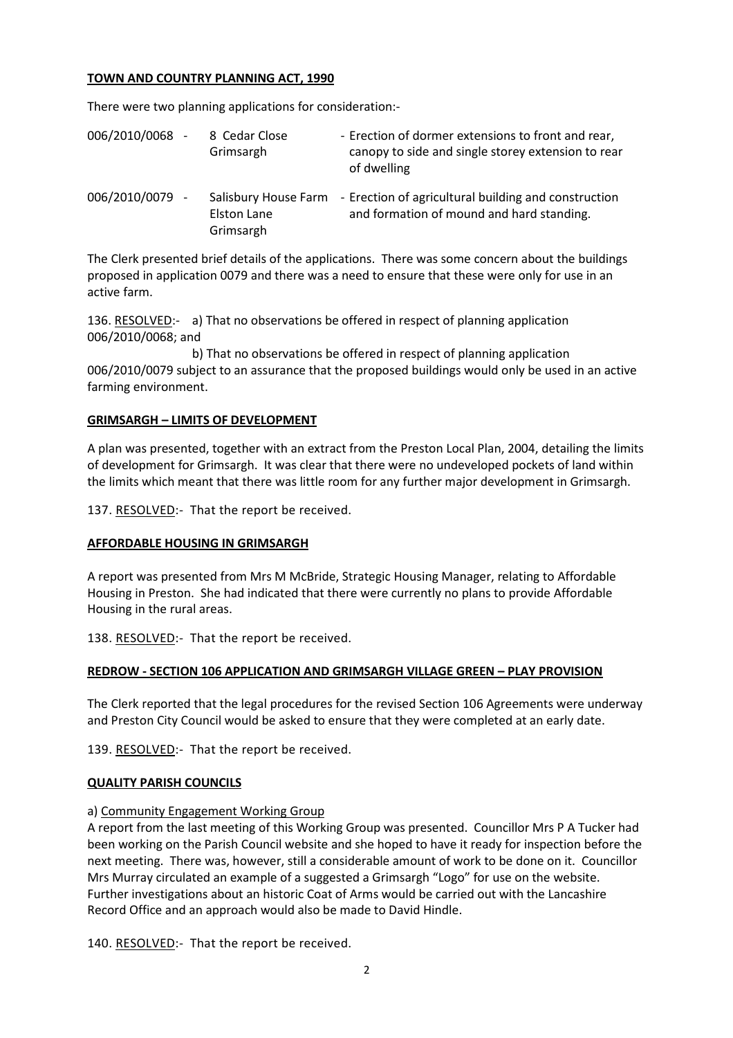### TOWN AND COUNTRY PLANNING ACT, 1990

There were two planning applications for consideration:-

| 006/2010/0068 - | 8 Cedar Close<br>Grimsargh      | - Erection of dormer extensions to front and rear,<br>canopy to side and single storey extension to rear<br>of dwelling |
|-----------------|---------------------------------|-------------------------------------------------------------------------------------------------------------------------|
| 006/2010/0079 - | <b>Elston Lane</b><br>Grimsargh | Salisbury House Farm - Erection of agricultural building and construction<br>and formation of mound and hard standing.  |

The Clerk presented brief details of the applications. There was some concern about the buildings proposed in application 0079 and there was a need to ensure that these were only for use in an active farm.

136. RESOLVED:- a) That no observations be offered in respect of planning application 006/2010/0068; and

 b) That no observations be offered in respect of planning application 006/2010/0079 subject to an assurance that the proposed buildings would only be used in an active farming environment.

## GRIMSARGH – LIMITS OF DEVELOPMENT

A plan was presented, together with an extract from the Preston Local Plan, 2004, detailing the limits of development for Grimsargh. It was clear that there were no undeveloped pockets of land within the limits which meant that there was little room for any further major development in Grimsargh.

137. RESOLVED:- That the report be received.

### AFFORDABLE HOUSING IN GRIMSARGH

A report was presented from Mrs M McBride, Strategic Housing Manager, relating to Affordable Housing in Preston. She had indicated that there were currently no plans to provide Affordable Housing in the rural areas.

138. RESOLVED: That the report be received.

## REDROW - SECTION 106 APPLICATION AND GRIMSARGH VILLAGE GREEN – PLAY PROVISION

The Clerk reported that the legal procedures for the revised Section 106 Agreements were underway and Preston City Council would be asked to ensure that they were completed at an early date.

139. RESOLVED:- That the report be received.

### QUALITY PARISH COUNCILS

### a) Community Engagement Working Group

A report from the last meeting of this Working Group was presented. Councillor Mrs P A Tucker had been working on the Parish Council website and she hoped to have it ready for inspection before the next meeting. There was, however, still a considerable amount of work to be done on it. Councillor Mrs Murray circulated an example of a suggested a Grimsargh "Logo" for use on the website. Further investigations about an historic Coat of Arms would be carried out with the Lancashire Record Office and an approach would also be made to David Hindle.

140. RESOLVED:- That the report be received.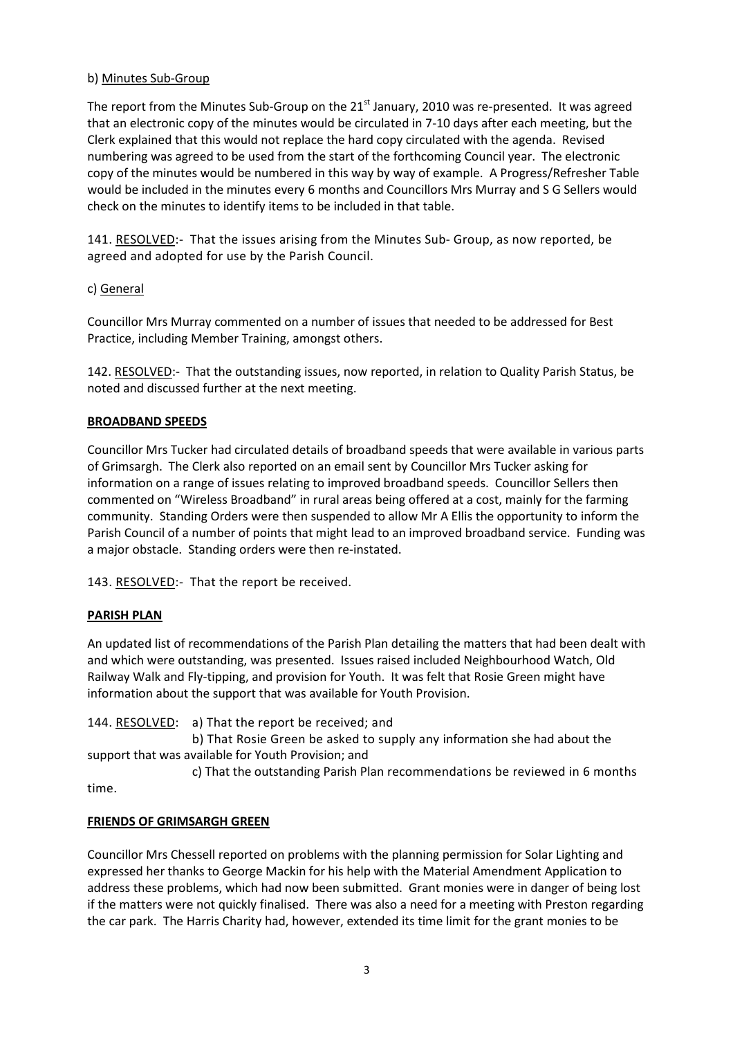## b) Minutes Sub-Group

The report from the Minutes Sub-Group on the  $21^{st}$  January, 2010 was re-presented. It was agreed that an electronic copy of the minutes would be circulated in 7-10 days after each meeting, but the Clerk explained that this would not replace the hard copy circulated with the agenda. Revised numbering was agreed to be used from the start of the forthcoming Council year. The electronic copy of the minutes would be numbered in this way by way of example. A Progress/Refresher Table would be included in the minutes every 6 months and Councillors Mrs Murray and S G Sellers would check on the minutes to identify items to be included in that table.

141. RESOLVED:- That the issues arising from the Minutes Sub- Group, as now reported, be agreed and adopted for use by the Parish Council.

## c) General

Councillor Mrs Murray commented on a number of issues that needed to be addressed for Best Practice, including Member Training, amongst others.

142. RESOLVED:- That the outstanding issues, now reported, in relation to Quality Parish Status, be noted and discussed further at the next meeting.

## BROADBAND SPEEDS

Councillor Mrs Tucker had circulated details of broadband speeds that were available in various parts of Grimsargh. The Clerk also reported on an email sent by Councillor Mrs Tucker asking for information on a range of issues relating to improved broadband speeds. Councillor Sellers then commented on "Wireless Broadband" in rural areas being offered at a cost, mainly for the farming community. Standing Orders were then suspended to allow Mr A Ellis the opportunity to inform the Parish Council of a number of points that might lead to an improved broadband service. Funding was a major obstacle. Standing orders were then re-instated.

143. RESOLVED:- That the report be received.

## PARISH PLAN

An updated list of recommendations of the Parish Plan detailing the matters that had been dealt with and which were outstanding, was presented. Issues raised included Neighbourhood Watch, Old Railway Walk and Fly-tipping, and provision for Youth. It was felt that Rosie Green might have information about the support that was available for Youth Provision.

144. RESOLVED: a) That the report be received; and

 b) That Rosie Green be asked to supply any information she had about the support that was available for Youth Provision; and

 c) That the outstanding Parish Plan recommendations be reviewed in 6 months time.

# FRIENDS OF GRIMSARGH GREEN

Councillor Mrs Chessell reported on problems with the planning permission for Solar Lighting and expressed her thanks to George Mackin for his help with the Material Amendment Application to address these problems, which had now been submitted. Grant monies were in danger of being lost if the matters were not quickly finalised. There was also a need for a meeting with Preston regarding the car park. The Harris Charity had, however, extended its time limit for the grant monies to be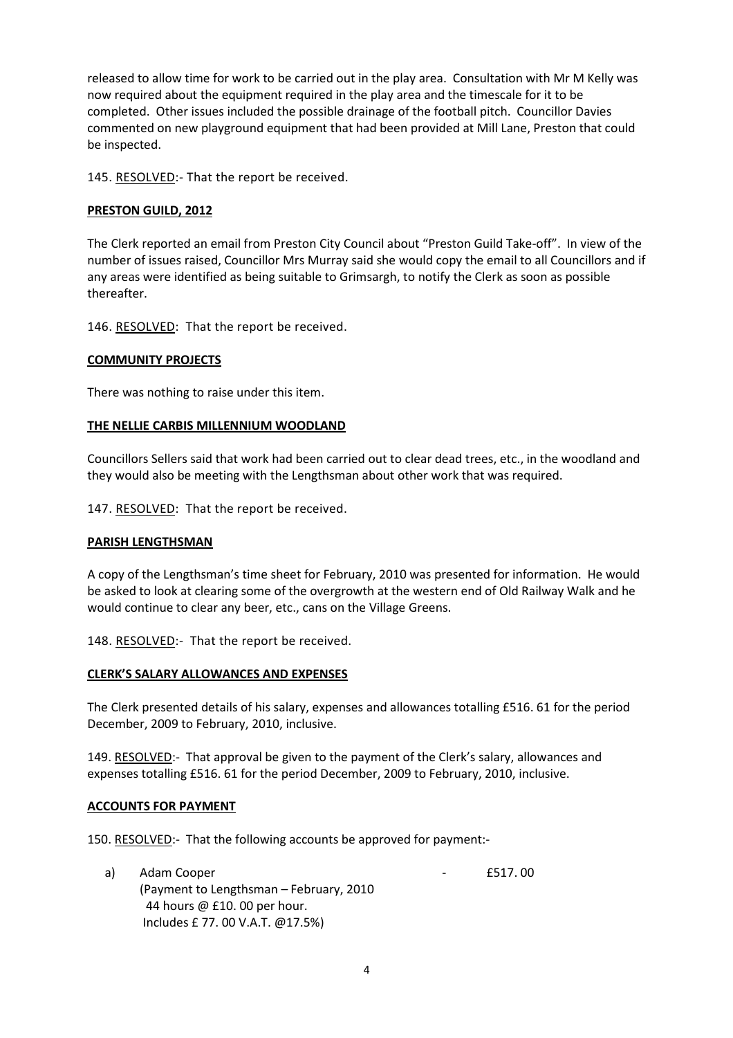released to allow time for work to be carried out in the play area. Consultation with Mr M Kelly was now required about the equipment required in the play area and the timescale for it to be completed. Other issues included the possible drainage of the football pitch. Councillor Davies commented on new playground equipment that had been provided at Mill Lane, Preston that could be inspected.

145. RESOLVED:- That the report be received.

## PRESTON GUILD, 2012

The Clerk reported an email from Preston City Council about "Preston Guild Take-off". In view of the number of issues raised, Councillor Mrs Murray said she would copy the email to all Councillors and if any areas were identified as being suitable to Grimsargh, to notify the Clerk as soon as possible thereafter.

146. RESOLVED: That the report be received.

## COMMUNITY PROJECTS

There was nothing to raise under this item.

### THE NELLIE CARBIS MILLENNIUM WOODLAND

Councillors Sellers said that work had been carried out to clear dead trees, etc., in the woodland and they would also be meeting with the Lengthsman about other work that was required.

147. RESOLVED: That the report be received.

### PARISH LENGTHSMAN

A copy of the Lengthsman's time sheet for February, 2010 was presented for information. He would be asked to look at clearing some of the overgrowth at the western end of Old Railway Walk and he would continue to clear any beer, etc., cans on the Village Greens.

148. RESOLVED:- That the report be received.

### CLERK'S SALARY ALLOWANCES AND EXPENSES

The Clerk presented details of his salary, expenses and allowances totalling £516. 61 for the period December, 2009 to February, 2010, inclusive.

149. RESOLVED:- That approval be given to the payment of the Clerk's salary, allowances and expenses totalling £516. 61 for the period December, 2009 to February, 2010, inclusive.

### ACCOUNTS FOR PAYMENT

150. RESOLVED:- That the following accounts be approved for payment:-

a) Adam Cooper **and Cooper 12 and Cooper 12** and 2012 12 and 2012 12 and 2012 12 and 2012 12 and 2012 12 and 20 (Payment to Lengthsman – February, 2010 44 hours @ £10. 00 per hour. Includes £ 77. 00 V.A.T. @17.5%)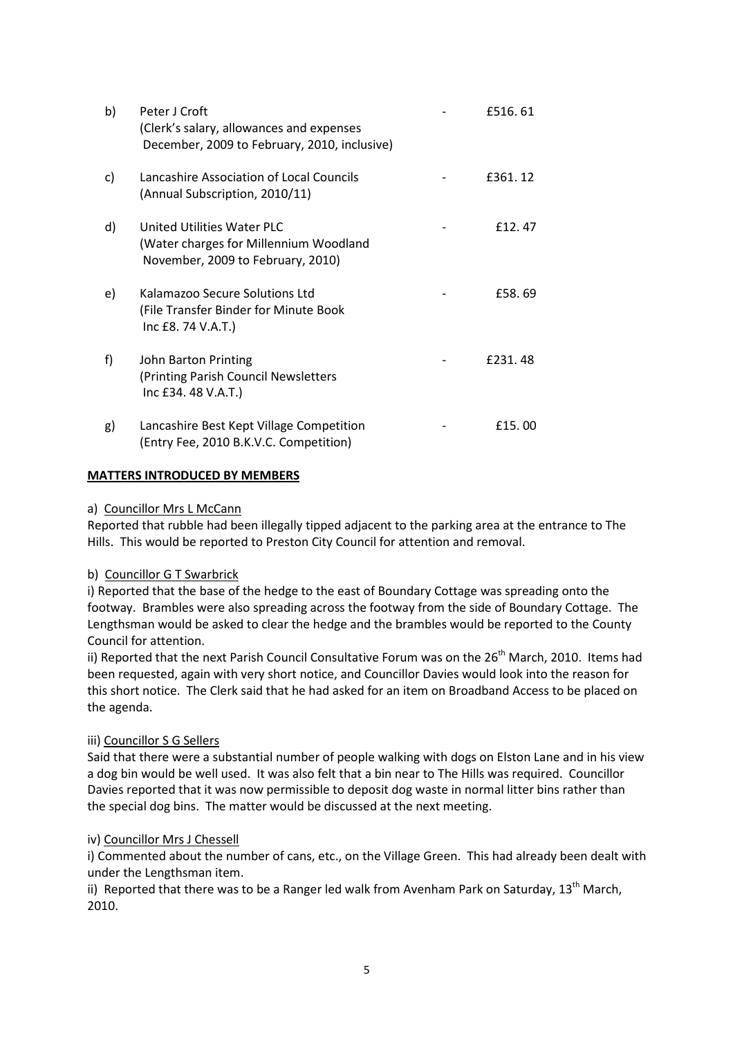| b) | Peter J Croft<br>(Clerk's salary, allowances and expenses<br>December, 2009 to February, 2010, inclusive)        | £516.61  |
|----|------------------------------------------------------------------------------------------------------------------|----------|
| C) | Lancashire Association of Local Councils<br>(Annual Subscription, 2010/11)                                       | £361, 12 |
| d) | <b>United Utilities Water PLC</b><br>(Water charges for Millennium Woodland<br>November, 2009 to February, 2010) | £12.47   |
| e) | Kalamazoo Secure Solutions Ltd<br>(File Transfer Binder for Minute Book<br>Inc £8. 74 V.A.T.)                    | £58.69   |
| f) | John Barton Printing<br>(Printing Parish Council Newsletters<br>Inc £34.48 V.A.T.)                               | £231,48  |
| g) | Lancashire Best Kept Village Competition<br>(Entry Fee, 2010 B.K.V.C. Competition)                               | £15,00   |

## MATTERS INTRODUCED BY MEMBERS

### a) Councillor Mrs L McCann

Reported that rubble had been illegally tipped adjacent to the parking area at the entrance to The Hills. This would be reported to Preston City Council for attention and removal.

### b) Councillor G T Swarbrick

i) Reported that the base of the hedge to the east of Boundary Cottage was spreading onto the footway. Brambles were also spreading across the footway from the side of Boundary Cottage. The Lengthsman would be asked to clear the hedge and the brambles would be reported to the County Council for attention.

ii) Reported that the next Parish Council Consultative Forum was on the 26<sup>th</sup> March, 2010. Items had been requested, again with very short notice, and Councillor Davies would look into the reason for this short notice. The Clerk said that he had asked for an item on Broadband Access to be placed on the agenda.

### iii) Councillor S G Sellers

Said that there were a substantial number of people walking with dogs on Elston Lane and in his view a dog bin would be well used. It was also felt that a bin near to The Hills was required. Councillor Davies reported that it was now permissible to deposit dog waste in normal litter bins rather than the special dog bins. The matter would be discussed at the next meeting.

### iv) Councillor Mrs J Chessell

i) Commented about the number of cans, etc., on the Village Green. This had already been dealt with under the Lengthsman item.

ii) Reported that there was to be a Ranger led walk from Avenham Park on Saturdav. 13<sup>th</sup> March. 2010.